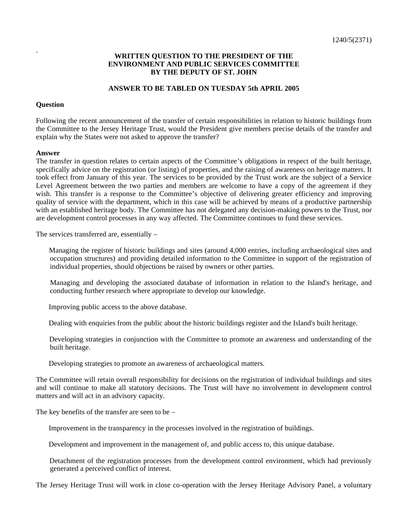## **WRITTEN QUESTION TO THE PRESIDENT OF THE ENVIRONMENT AND PUBLIC SERVICES COMMITTEE BY THE DEPUTY OF ST. JOHN**

## **ANSWER TO BE TABLED ON TUESDAY 5th APRIL 2005**

## **Question**

Following the recent announcement of the transfer of certain responsibilities in relation to historic buildings from the Committee to the Jersey Heritage Trust, would the President give members precise details of the transfer and explain why the States were not asked to approve the transfer?

## **Answer**

The transfer in question relates to certain aspects of the Committee's obligations in respect of the built heritage, specifically advice on the registration (or listing) of properties, and the raising of awareness on heritage matters. It took effect from January of this year. The services to be provided by the Trust work are the subject of a Service Level Agreement between the two parties and members are welcome to have a copy of the agreement if they wish. This transfer is a response to the Committee's objective of delivering greater efficiency and improving quality of service with the department, which in this case will be achieved by means of a productive partnership with an established heritage body. The Committee has not delegated any decision-making powers to the Trust, nor are development control processes in any way affected. The Committee continues to fund these services.

The services transferred are, essentially –

 Managing the register of historic buildings and sites (around 4,000 entries, including archaeological sites and occupation structures) and providing detailed information to the Committee in support of the registration of individual properties, should objections be raised by owners or other parties.

 Managing and developing the associated database of information in relation to the Island's heritage, and conducting further research where appropriate to develop our knowledge.

Improving public access to the above database.

Dealing with enquiries from the public about the historic buildings register and the Island's built heritage.

 Developing strategies in conjunction with the Committee to promote an awareness and understanding of the built heritage.

Developing strategies to promote an awareness of archaeological matters.

The Committee will retain overall responsibility for decisions on the registration of individual buildings and sites and will continue to make all statutory decisions. The Trust will have no involvement in development control matters and will act in an advisory capacity.

The key benefits of the transfer are seen to be –

Improvement in the transparency in the processes involved in the registration of buildings.

Development and improvement in the management of, and public access to, this unique database.

 Detachment of the registration processes from the development control environment, which had previously generated a perceived conflict of interest.

The Jersey Heritage Trust will work in close co-operation with the Jersey Heritage Advisory Panel, a voluntary